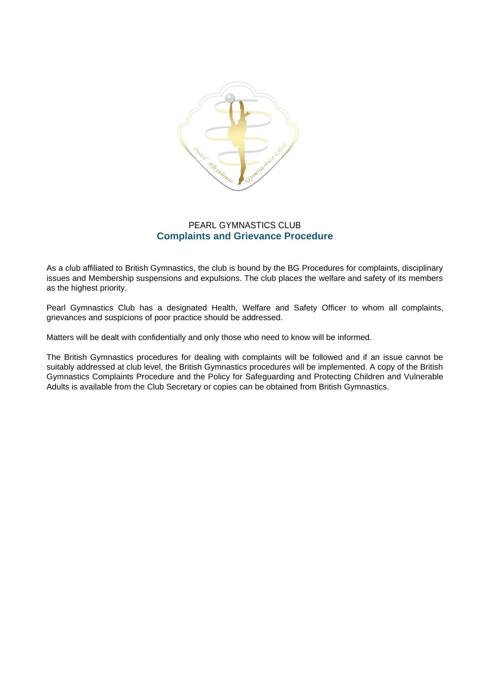

# PEARL GYMNASTICS CLUB **Complaints and Grievance Procedure**

As a club affiliated to British Gymnastics, the club is bound by the BG Procedures for complaints, disciplinary issues and Membership suspensions and expulsions. The club places the welfare and safety of its members as the highest priority.

Pearl Gymnastics Club has a designated Health, Welfare and Safety Officer to whom all complaints, grievances and suspicions of poor practice should be addressed.

Matters will be dealt with confidentially and only those who need to know will be informed.

The British Gymnastics procedures for dealing with complaints will be followed and if an issue cannot be suitably addressed at club level, the British Gymnastics procedures will be implemented. A copy of the British Gymnastics Complaints Procedure and the Policy for Safeguarding and Protecting Children and Vulnerable Adults is available from the Club Secretary or copies can be obtained from British Gymnastics.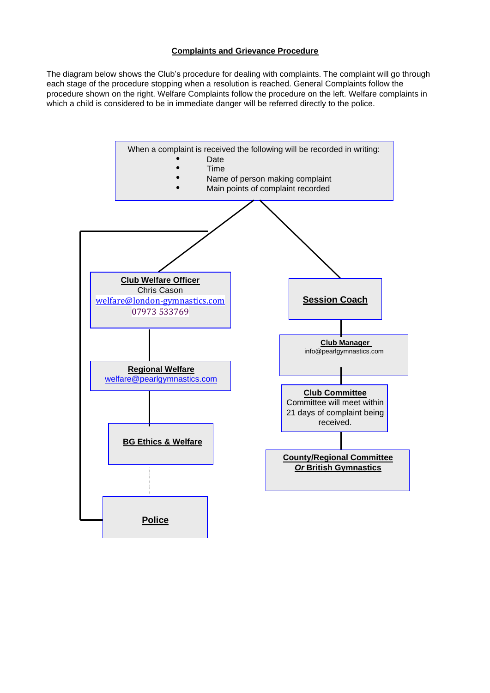# **Complaints and Grievance Procedure**

The diagram below shows the Club's procedure for dealing with complaints. The complaint will go through each stage of the procedure stopping when a resolution is reached. General Complaints follow the procedure shown on the right. Welfare Complaints follow the procedure on the left. Welfare complaints in which a child is considered to be in immediate danger will be referred directly to the police.